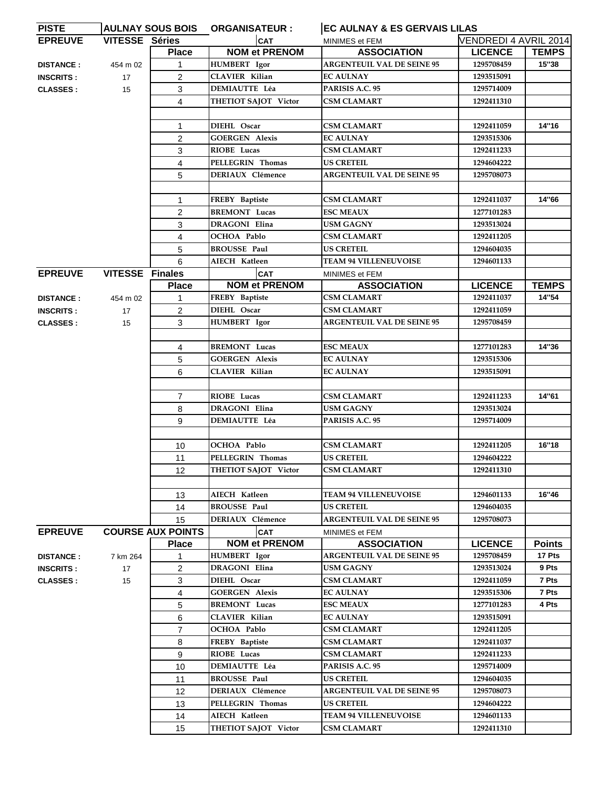| <b>PISTE</b>     |                        |                          | AULNAY SOUS BOIS ORGANISATEUR : | <b>EC AULNAY &amp; ES GERVAIS LILAS</b> |                       |               |
|------------------|------------------------|--------------------------|---------------------------------|-----------------------------------------|-----------------------|---------------|
| <b>EPREUVE</b>   | <b>VITESSE Séries</b>  |                          | <b>CAT</b>                      | MINIMES et FEM                          | VENDREDI 4 AVRIL 2014 |               |
|                  |                        | <b>Place</b>             | <b>NOM et PRENOM</b>            | <b>ASSOCIATION</b>                      | <b>LICENCE</b>        | <b>TEMPS</b>  |
| <b>DISTANCE:</b> | 454 m 02               | 1                        | HUMBERT Igor                    | <b>ARGENTEUIL VAL DE SEINE 95</b>       | 1295708459            | 15"38         |
| <b>INSCRITS:</b> | 17                     | $\overline{c}$           | <b>CLAVIER Kilian</b>           | <b>EC AULNAY</b>                        | 1293515091            |               |
| <b>CLASSES:</b>  | 15                     | 3                        | DEMIAUTTE Léa                   | PARISIS A.C. 95                         | 1295714009            |               |
|                  |                        | 4                        | THETIOT SAJOT Victor            | CSM CLAMART                             | 1292411310            |               |
|                  |                        |                          |                                 |                                         |                       |               |
|                  |                        | $\mathbf{1}$             | DIEHL Oscar                     | <b>CSM CLAMART</b>                      | 1292411059            | 14"16         |
|                  |                        | $\overline{2}$           | <b>GOERGEN Alexis</b>           | <b>EC AULNAY</b>                        | 1293515306            |               |
|                  |                        | 3                        | RIOBE Lucas                     | CSM CLAMART                             | 1292411233            |               |
|                  |                        | 4                        | PELLEGRIN Thomas                | US CRETEIL                              | 1294604222            |               |
|                  |                        | 5                        | <b>DERIAUX Clémence</b>         | <b>ARGENTEUIL VAL DE SEINE 95</b>       | 1295708073            |               |
|                  |                        |                          |                                 |                                         |                       |               |
|                  |                        | $\mathbf{1}$             | FREBY Baptiste                  | <b>CSM CLAMART</b>                      | 1292411037            | 14"66         |
|                  |                        | $\overline{2}$           | <b>BREMONT</b> Lucas            | <b>ESC MEAUX</b>                        | 1277101283            |               |
|                  |                        | 3                        | <b>DRAGONI Elina</b>            | <b>USM GAGNY</b>                        | 1293513024            |               |
|                  |                        | 4                        | OCHOA Pablo                     | <b>CSM CLAMART</b>                      | 1292411205            |               |
|                  |                        | 5                        | <b>BROUSSE Paul</b>             | <b>US CRETEIL</b>                       | 1294604035            |               |
|                  |                        | 6                        | AIECH Katleen                   | <b>TEAM 94 VILLENEUVOISE</b>            | 1294601133            |               |
| <b>EPREUVE</b>   | <b>VITESSE Finales</b> |                          | <b>CAT</b>                      | MINIMES et FEM                          |                       |               |
|                  |                        | <b>Place</b>             | <b>NOM et PRENOM</b>            | <b>ASSOCIATION</b>                      | <b>LICENCE</b>        | <b>TEMPS</b>  |
| <b>DISTANCE:</b> | 454 m 02               | 1                        | FREBY Baptiste                  | <b>CSM CLAMART</b>                      | 1292411037            | 14"54         |
| <b>INSCRITS:</b> | 17                     | $\overline{c}$           | DIEHL Oscar                     | <b>CSM CLAMART</b>                      | 1292411059            |               |
| <b>CLASSES:</b>  | 15                     | 3                        | <b>HUMBERT</b> Igor             | <b>ARGENTEUIL VAL DE SEINE 95</b>       | 1295708459            |               |
|                  |                        |                          |                                 |                                         |                       |               |
|                  |                        | 4                        | <b>BREMONT Lucas</b>            | <b>ESC MEAUX</b>                        | 1277101283            | 14"36         |
|                  |                        | 5                        | <b>GOERGEN Alexis</b>           | <b>EC AULNAY</b>                        | 1293515306            |               |
|                  |                        | 6                        | <b>CLAVIER Kilian</b>           | <b>EC AULNAY</b>                        | 1293515091            |               |
|                  |                        |                          |                                 |                                         |                       |               |
|                  |                        | $\overline{7}$           | RIOBE Lucas                     | <b>CSM CLAMART</b>                      | 1292411233            | 14"61         |
|                  |                        | 8                        | DRAGONI Elina                   | <b>USM GAGNY</b>                        | 1293513024            |               |
|                  |                        | 9                        | <b>DEMIAUTTE Léa</b>            | PARISIS A.C. 95                         | 1295714009            |               |
|                  |                        |                          |                                 |                                         |                       |               |
|                  |                        | 10                       | OCHOA Pablo                     | <b>CSM CLAMART</b>                      | 1292411205            | 16"18         |
|                  |                        | 11                       | PELLEGRIN Thomas                | <b>US CRETEIL</b>                       | 1294604222            |               |
|                  |                        | 12                       | THETIOT SAJOT Victor            | <b>CSM CLAMART</b>                      | 1292411310            |               |
|                  |                        |                          |                                 |                                         |                       |               |
|                  |                        | 13                       | AIECH Katleen                   | <b>TEAM 94 VILLENEUVOISE</b>            | 1294601133            | 16"46         |
|                  |                        | 14                       | <b>BROUSSE Paul</b>             | <b>US CRETEIL</b>                       | 1294604035            |               |
|                  |                        | 15                       | <b>DERIAUX Clémence</b>         | <b>ARGENTEUIL VAL DE SEINE 95</b>       | 1295708073            |               |
| <b>EPREUVE</b>   |                        | <b>COURSE AUX POINTS</b> | <b>CAT</b>                      | MINIMES et FEM                          |                       |               |
|                  |                        | <b>Place</b>             | <b>NOM et PRENOM</b>            | <b>ASSOCIATION</b>                      | <b>LICENCE</b>        | <b>Points</b> |
| <b>DISTANCE:</b> | 7 km 264               | 1                        | HUMBERT Igor                    | <b>ARGENTEUIL VAL DE SEINE 95</b>       | 1295708459            | 17 Pts        |
| <b>INSCRITS:</b> | 17                     | $\overline{2}$           | <b>DRAGONI Elina</b>            | <b>USM GAGNY</b>                        | 1293513024            | 9 Pts         |
| <b>CLASSES:</b>  | 15                     | 3                        | DIEHL Oscar                     | <b>CSM CLAMART</b>                      | 1292411059            | 7 Pts         |
|                  |                        | 4                        | <b>GOERGEN Alexis</b>           | <b>EC AULNAY</b>                        | 1293515306            | 7 Pts         |
|                  |                        | 5                        | <b>BREMONT Lucas</b>            | <b>ESC MEAUX</b>                        | 1277101283            | 4 Pts         |
|                  |                        | 6                        | CLAVIER Kilian                  | <b>EC AULNAY</b>                        | 1293515091            |               |
|                  |                        | $\overline{7}$           | OCHOA Pablo                     | <b>CSM CLAMART</b>                      | 1292411205            |               |
|                  |                        | 8                        | FREBY Baptiste                  | <b>CSM CLAMART</b>                      | 1292411037            |               |
|                  |                        | 9                        | RIOBE Lucas                     | <b>CSM CLAMART</b>                      | 1292411233            |               |
|                  |                        | 10                       | <b>DEMIAUTTE Léa</b>            | PARISIS A.C. 95                         | 1295714009            |               |
|                  |                        | 11                       | <b>BROUSSE Paul</b>             | <b>US CRETEIL</b>                       | 1294604035            |               |
|                  |                        | 12                       | <b>DERIAUX Clémence</b>         | <b>ARGENTEUIL VAL DE SEINE 95</b>       | 1295708073            |               |
|                  |                        | 13                       | PELLEGRIN Thomas                | <b>US CRETEIL</b>                       | 1294604222            |               |
|                  |                        | 14                       | AIECH Katleen                   | <b>TEAM 94 VILLENEUVOISE</b>            | 1294601133            |               |
|                  |                        | 15                       | THETIOT SAJOT Victor            | <b>CSM CLAMART</b>                      | 1292411310            |               |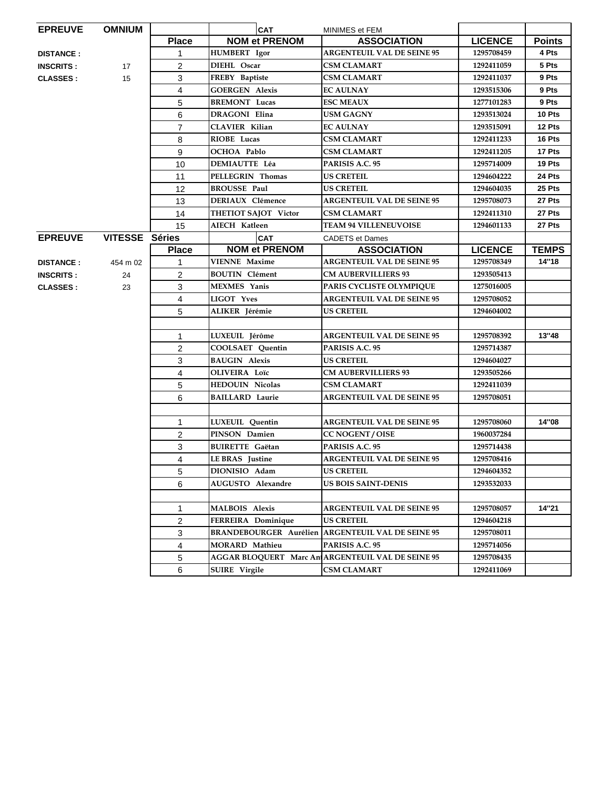| <b>EPREUVE</b>   | <b>OMNIUM</b>  |                | <b>CAT</b>                    | MINIMES et FEM                                    |                |               |
|------------------|----------------|----------------|-------------------------------|---------------------------------------------------|----------------|---------------|
|                  |                | <b>Place</b>   | <b>NOM et PRENOM</b>          | <b>ASSOCIATION</b>                                | <b>LICENCE</b> | <b>Points</b> |
| <b>DISTANCE:</b> |                | 1.             | <b>HUMBERT</b> Igor           | <b>ARGENTEUIL VAL DE SEINE 95</b>                 | 1295708459     | 4 Pts         |
| <b>INSCRITS:</b> | 17             | 2              | DIEHL Oscar                   | CSM CLAMART                                       | 1292411059     | 5 Pts         |
| <b>CLASSES:</b>  | 15             | 3              | FREBY Baptiste                | <b>CSM CLAMART</b>                                | 1292411037     | 9 Pts         |
|                  |                | 4              | <b>GOERGEN Alexis</b>         | <b>EC AULNAY</b>                                  | 1293515306     | 9 Pts         |
|                  |                | 5              | <b>BREMONT</b> Lucas          | <b>ESC MEAUX</b>                                  | 1277101283     | 9 Pts         |
|                  |                | 6              | DRAGONI Elina                 | <b>USM GAGNY</b>                                  | 1293513024     | 10 Pts        |
|                  |                | $\overline{7}$ | <b>CLAVIER Kilian</b>         | <b>EC AULNAY</b>                                  | 1293515091     | 12 Pts        |
|                  |                | 8              | RIOBE Lucas                   | CSM CLAMART                                       | 1292411233     | 16 Pts        |
|                  |                | 9              | OCHOA Pablo                   | <b>CSM CLAMART</b>                                | 1292411205     | 17 Pts        |
|                  |                | 10             | <b>DEMIAUTTE Léa</b>          | PARISIS A.C. 95                                   | 1295714009     | 19 Pts        |
|                  |                | 11             | PELLEGRIN Thomas              | <b>US CRETEIL</b>                                 | 1294604222     | 24 Pts        |
|                  |                | 12             | <b>BROUSSE Paul</b>           | <b>US CRETEIL</b>                                 | 1294604035     | 25 Pts        |
|                  |                | 13             | DERIAUX Clémence              | <b>ARGENTEUIL VAL DE SEINE 95</b>                 | 1295708073     | 27 Pts        |
|                  |                | 14             | THETIOT SAJOT Victor          | CSM CLAMART                                       | 1292411310     | 27 Pts        |
|                  |                | 15             | AIECH Katleen                 | <b>TEAM 94 VILLENEUVOISE</b>                      | 1294601133     | 27 Pts        |
| <b>EPREUVE</b>   | VITESSE Séries |                | <b>CAT</b>                    | <b>CADETS et Dames</b>                            |                |               |
|                  |                | <b>Place</b>   | <b>NOM et PRENOM</b>          | <b>ASSOCIATION</b>                                | <b>LICENCE</b> | <b>TEMPS</b>  |
| <b>DISTANCE:</b> | 454 m 02       | 1              | <b>VIENNE Maxime</b>          | <b>ARGENTEUIL VAL DE SEINE 95</b>                 | 1295708349     | 14"18         |
| <b>INSCRITS:</b> | 24             | 2              | <b>BOUTIN</b> Clément         | <b>CM AUBERVILLIERS 93</b>                        | 1293505413     |               |
| <b>CLASSES:</b>  | 23             | 3              | MEXMES Yanis                  | PARIS CYCLISTE OLYMPIQUE                          | 1275016005     |               |
|                  |                | 4              | LIGOT Yves                    | <b>ARGENTEUIL VAL DE SEINE 95</b>                 | 1295708052     |               |
|                  |                | 5              | ALIKER Jérémie                | <b>US CRETEIL</b>                                 | 1294604002     |               |
|                  |                |                |                               |                                                   |                |               |
|                  |                | $\mathbf{1}$   | LUXEUIL Jérôme                | <b>ARGENTEUIL VAL DE SEINE 95</b>                 | 1295708392     | 13"48         |
|                  |                | 2              | COOLSAET Quentin              | PARISIS A.C. 95                                   | 1295714387     |               |
|                  |                | 3              | <b>BAUGIN Alexis</b>          | US CRETEIL                                        | 1294604027     |               |
|                  |                | 4              | OLIVEIRA Loïc                 | <b>CM AUBERVILLIERS 93</b>                        | 1293505266     |               |
|                  |                | 5              | <b>HEDOUIN Nicolas</b>        | <b>CSM CLAMART</b>                                | 1292411039     |               |
|                  |                | 6              | <b>BAILLARD Laurie</b>        | <b>ARGENTEUIL VAL DE SEINE 95</b>                 | 1295708051     |               |
|                  |                |                |                               |                                                   |                |               |
|                  |                | 1              | LUXEUIL Quentin               | <b>ARGENTEUIL VAL DE SEINE 95</b>                 | 1295708060     | 14"08         |
|                  |                | 2              | PINSON Damien                 | <b>CC NOGENT / OISE</b>                           | 1960037284     |               |
|                  |                | 3              | <b>BUIRETTE</b> Gaëtan        | PARISIS A.C. 95                                   | 1295714438     |               |
|                  |                | 4              | <b>LE BRAS</b> Justine        | <b>ARGENTEUIL VAL DE SEINE 95</b>                 | 1295708416     |               |
|                  |                | 5              | DIONISIO Adam                 | <b>US CRETEIL</b>                                 | 1294604352     |               |
|                  |                | 6              | AUGUSTO Alexandre             | <b>US BOIS SAINT-DENIS</b>                        | 1293532033     |               |
|                  |                |                |                               |                                                   |                |               |
|                  |                | 1              | <b>MALBOIS Alexis</b>         | <b>ARGENTEUIL VAL DE SEINE 95</b>                 | 1295708057     | 14"21         |
|                  |                | $\overline{c}$ | FERREIRA Dominique            | <b>US CRETEIL</b>                                 | 1294604218     |               |
|                  |                | 3              | <b>BRANDEBOURGER Aurélien</b> | <b>ARGENTEUIL VAL DE SEINE 95</b>                 | 1295708011     |               |
|                  |                | 4              | <b>MORARD Mathieu</b>         | PARISIS A.C. 95                                   | 1295714056     |               |
|                  |                | 5              |                               | AGGAR BLOQUERT Marc An ARGENTEUIL VAL DE SEINE 95 | 1295708435     |               |
|                  |                | 6              | <b>SUIRE</b> Virgile          | <b>CSM CLAMART</b>                                | 1292411069     |               |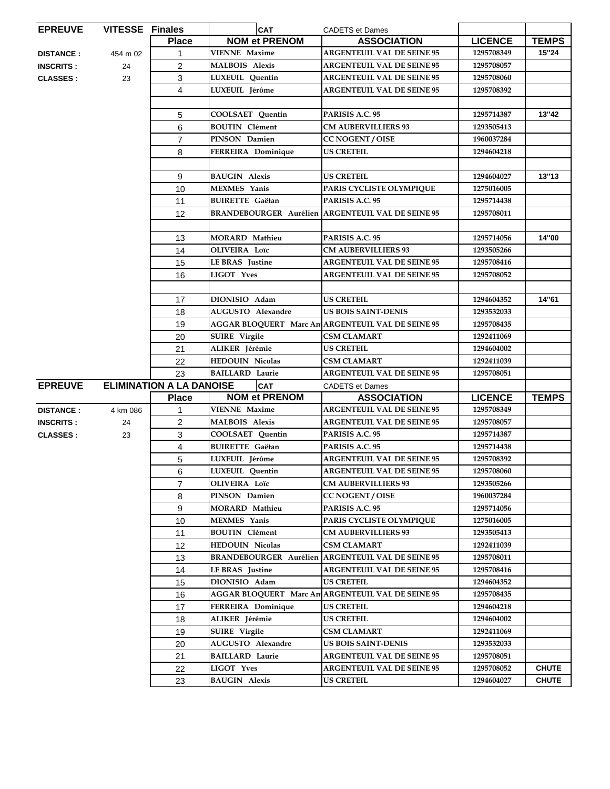| <b>EPREUVE</b>   | <b>VITESSE Finales</b> |                                 | <b>CAT</b>              | <b>CADETS et Dames</b>                                   |                |              |
|------------------|------------------------|---------------------------------|-------------------------|----------------------------------------------------------|----------------|--------------|
|                  |                        | <b>Place</b>                    | <b>NOM et PRENOM</b>    | <b>ASSOCIATION</b>                                       | <b>LICENCE</b> | <b>TEMPS</b> |
| <b>DISTANCE:</b> | 454 m 02               |                                 | <b>VIENNE Maxime</b>    | <b>ARGENTEUIL VAL DE SEINE 95</b>                        | 1295708349     | 15"24        |
| <b>INSCRITS:</b> | 24                     | $\overline{c}$                  | <b>MALBOIS Alexis</b>   | <b>ARGENTEUIL VAL DE SEINE 95</b>                        | 1295708057     |              |
| <b>CLASSES:</b>  | 23                     | 3                               | LUXEUIL Quentin         | <b>ARGENTEUIL VAL DE SEINE 95</b>                        | 1295708060     |              |
|                  |                        | 4                               | LUXEUIL Jérôme          | <b>ARGENTEUIL VAL DE SEINE 95</b>                        | 1295708392     |              |
|                  |                        |                                 |                         |                                                          |                |              |
|                  |                        | 5                               | COOLSAET Quentin        | PARISIS A.C. 95                                          | 1295714387     | 13"42        |
|                  |                        | 6                               | <b>BOUTIN Clément</b>   | <b>CM AUBERVILLIERS 93</b>                               | 1293505413     |              |
|                  |                        | $\overline{7}$                  | PINSON Damien           | <b>CC NOGENT / OISE</b>                                  | 1960037284     |              |
|                  |                        | 8                               | FERREIRA Dominique      | <b>US CRETEIL</b>                                        | 1294604218     |              |
|                  |                        |                                 |                         |                                                          |                |              |
|                  |                        | 9                               | <b>BAUGIN Alexis</b>    | <b>US CRETEIL</b>                                        | 1294604027     | 13"13        |
|                  |                        | 10                              | <b>MEXMES</b> Yanis     | PARIS CYCLISTE OLYMPIQUE                                 | 1275016005     |              |
|                  |                        | 11                              | <b>BUIRETTE Gaëtan</b>  | PARISIS A.C. 95                                          | 1295714438     |              |
|                  |                        | 12                              |                         | <b>BRANDEBOURGER Aurélien ARGENTEUIL VAL DE SEINE 95</b> | 1295708011     |              |
|                  |                        |                                 |                         |                                                          |                |              |
|                  |                        | 13                              | MORARD Mathieu          | PARISIS A.C. 95                                          | 1295714056     | 14"00        |
|                  |                        | 14                              | OLIVEIRA Loïc           | <b>CM AUBERVILLIERS 93</b>                               | 1293505266     |              |
|                  |                        | 15                              | LE BRAS Justine         | <b>ARGENTEUIL VAL DE SEINE 95</b>                        | 1295708416     |              |
|                  |                        | 16                              | LIGOT Yves              | <b>ARGENTEUIL VAL DE SEINE 95</b>                        | 1295708052     |              |
|                  |                        |                                 |                         |                                                          |                |              |
|                  |                        | 17                              | DIONISIO Adam           | <b>US CRETEIL</b>                                        | 1294604352     | 14"61        |
|                  |                        | 18                              | AUGUSTO Alexandre       | <b>US BOIS SAINT-DENIS</b>                               | 1293532033     |              |
|                  |                        | 19                              |                         | AGGAR BLOQUERT Marc An ARGENTEUIL VAL DE SEINE 95        | 1295708435     |              |
|                  |                        | 20                              | <b>SUIRE</b> Virgile    | <b>CSM CLAMART</b>                                       | 1292411069     |              |
|                  |                        | 21                              | ALIKER Jérémie          | <b>US CRETEIL</b>                                        | 1294604002     |              |
|                  |                        | 22                              | <b>HEDOUIN Nicolas</b>  | <b>CSM CLAMART</b>                                       | 1292411039     |              |
|                  |                        | 23                              | <b>BAILLARD Laurie</b>  | <b>ARGENTEUIL VAL DE SEINE 95</b>                        | 1295708051     |              |
| <b>EPREUVE</b>   |                        | <b>ELIMINATION A LA DANOISE</b> | <b>CAT</b>              | <b>CADETS et Dames</b>                                   |                |              |
|                  |                        | <b>Place</b>                    | <b>NOM et PRENOM</b>    | <b>ASSOCIATION</b>                                       | <b>LICENCE</b> | <b>TEMPS</b> |
| <b>DISTANCE:</b> | 4 km 086               | 1                               | <b>VIENNE Maxime</b>    | <b>ARGENTEUIL VAL DE SEINE 95</b>                        | 1295708349     |              |
| <b>INSCRITS:</b> | 24                     | $\overline{2}$                  | <b>MALBOIS Alexis</b>   | <b>ARGENTEUIL VAL DE SEINE 95</b>                        | 1295708057     |              |
| <b>CLASSES:</b>  | 23                     | 3                               | <b>COOLSAET Quentin</b> | PARISIS A.C. 95                                          | 1295714387     |              |
|                  |                        | 4                               | <b>BUIRETTE</b> Gaëtan  | PARISIS A.C. 95                                          | 1295714438     |              |
|                  |                        | 5                               | LUXEUIL Jérôme          | <b>ARGENTEUIL VAL DE SEINE 95</b>                        | 1295708392     |              |
|                  |                        | 6                               | LUXEUIL Quentin         | <b>ARGENTEUIL VAL DE SEINE 95</b>                        | 1295708060     |              |
|                  |                        | $\overline{7}$                  | OLIVEIRA Loïc           | <b>CM AUBERVILLIERS 93</b>                               | 1293505266     |              |
|                  |                        | 8                               | PINSON Damien           | CC NOGENT / OISE                                         | 1960037284     |              |
|                  |                        | 9                               | <b>MORARD Mathieu</b>   | PARISIS A.C. 95                                          | 1295714056     |              |
|                  |                        | 10                              | <b>MEXMES</b> Yanis     | PARIS CYCLISTE OLYMPIQUE                                 | 1275016005     |              |
|                  |                        | 11                              | <b>BOUTIN Clément</b>   | <b>CM AUBERVILLIERS 93</b>                               | 1293505413     |              |
|                  |                        | 12                              | <b>HEDOUIN Nicolas</b>  | <b>CSM CLAMART</b>                                       | 1292411039     |              |
|                  |                        | 13                              |                         | <b>BRANDEBOURGER Aurélien ARGENTEUIL VAL DE SEINE 95</b> | 1295708011     |              |
|                  |                        | 14                              | LE BRAS Justine         | <b>ARGENTEUIL VAL DE SEINE 95</b>                        | 1295708416     |              |
|                  |                        | 15                              | DIONISIO Adam           | <b>US CRETEIL</b>                                        | 1294604352     |              |
|                  |                        | 16                              |                         | AGGAR BLOQUERT Marc An ARGENTEUIL VAL DE SEINE 95        | 1295708435     |              |
|                  |                        | 17                              | FERREIRA Dominique      | <b>US CRETEIL</b>                                        | 1294604218     |              |
|                  |                        | 18                              | ALIKER Jérémie          | <b>US CRETEIL</b>                                        | 1294604002     |              |
|                  |                        |                                 | <b>SUIRE Virgile</b>    | <b>CSM CLAMART</b>                                       | 1292411069     |              |
|                  |                        | 19                              | AUGUSTO Alexandre       | US BOIS SAINT-DENIS                                      | 1293532033     |              |
|                  |                        | 20<br>21                        | <b>BAILLARD Laurie</b>  | <b>ARGENTEUIL VAL DE SEINE 95</b>                        | 1295708051     |              |
|                  |                        |                                 | LIGOT Yves              | <b>ARGENTEUIL VAL DE SEINE 95</b>                        | 1295708052     | <b>CHUTE</b> |
|                  |                        | 22                              | <b>BAUGIN Alexis</b>    | <b>US CRETEIL</b>                                        |                | <b>CHUTE</b> |
|                  |                        | 23                              |                         |                                                          | 1294604027     |              |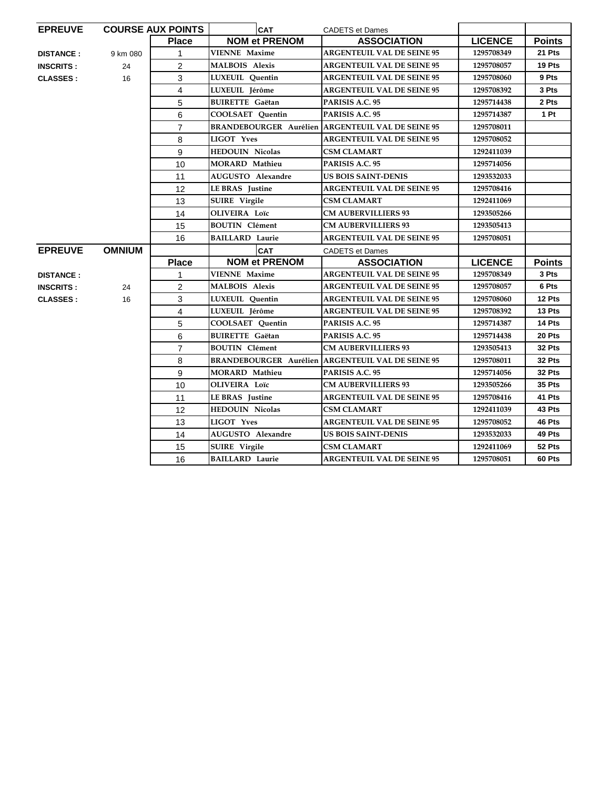| <b>EPREUVE</b>   |               | <b>COURSE AUX POINTS</b> | <b>CAT</b>                    | <b>CADETS et Dames</b>                                   |                |               |
|------------------|---------------|--------------------------|-------------------------------|----------------------------------------------------------|----------------|---------------|
|                  |               | <b>Place</b>             | <b>NOM et PRENOM</b>          | <b>ASSOCIATION</b>                                       | <b>LICENCE</b> | <b>Points</b> |
| <b>DISTANCE:</b> | 9 km 080      | 1                        | <b>VIENNE Maxime</b>          | <b>ARGENTEUIL VAL DE SEINE 95</b>                        | 1295708349     | 21 Pts        |
| <b>INSCRITS:</b> | 24            | $\overline{2}$           | <b>MALBOIS Alexis</b>         | <b>ARGENTEUIL VAL DE SEINE 95</b>                        | 1295708057     | 19 Pts        |
| <b>CLASSES:</b>  | 16            | 3                        | LUXEUIL Ouentin               | <b>ARGENTEUIL VAL DE SEINE 95</b>                        | 1295708060     | 9 Pts         |
|                  |               | 4                        | LUXEUIL Jérôme                | <b>ARGENTEUIL VAL DE SEINE 95</b>                        | 1295708392     | 3 Pts         |
|                  |               | 5                        | <b>BUIRETTE Gaëtan</b>        | PARISIS A.C. 95                                          | 1295714438     | 2 Pts         |
|                  |               | 6                        | COOLSAET Quentin              | PARISIS A.C. 95                                          | 1295714387     | 1 Pt          |
|                  |               | $\overline{7}$           |                               | <b>BRANDEBOURGER Aurélien ARGENTEUIL VAL DE SEINE 95</b> | 1295708011     |               |
|                  |               | 8                        | <b>LIGOT Yves</b>             | <b>ARGENTEUIL VAL DE SEINE 95</b>                        | 1295708052     |               |
|                  |               | 9                        | <b>HEDOUIN Nicolas</b>        | <b>CSM CLAMART</b>                                       | 1292411039     |               |
|                  |               | 10                       | <b>MORARD</b> Mathieu         | PARISIS A.C. 95                                          | 1295714056     |               |
|                  |               | 11                       | AUGUSTO Alexandre             | <b>US BOIS SAINT-DENIS</b>                               | 1293532033     |               |
|                  |               | 12                       | <b>LEBRAS</b> Justine         | <b>ARGENTEUIL VAL DE SEINE 95</b>                        | 1295708416     |               |
|                  |               | 13                       | <b>SUIRE</b> Virgile          | <b>CSM CLAMART</b>                                       | 1292411069     |               |
|                  |               | 14                       | OLIVEIRA Loïc                 | <b>CM AUBERVILLIERS 93</b>                               | 1293505266     |               |
|                  |               | 15                       | <b>BOUTIN</b> Clément         | <b>CM AUBERVILLIERS 93</b>                               | 1293505413     |               |
|                  |               | 16                       | <b>BAILLARD Laurie</b>        | <b>ARGENTEUIL VAL DE SEINE 95</b>                        | 1295708051     |               |
| <b>EPREUVE</b>   | <b>OMNIUM</b> |                          | <b>CAT</b>                    | <b>CADETS et Dames</b>                                   |                |               |
|                  |               | <b>Place</b>             | <b>NOM et PRENOM</b>          | <b>ASSOCIATION</b>                                       | <b>LICENCE</b> | <b>Points</b> |
| <b>DISTANCE:</b> |               | $\mathbf{1}$             | <b>VIENNE Maxime</b>          | <b>ARGENTEUIL VAL DE SEINE 95</b>                        | 1295708349     | 3 Pts         |
| <b>INSCRITS:</b> | 24            | $\overline{2}$           | <b>MALBOIS Alexis</b>         | <b>ARGENTEUIL VAL DE SEINE 95</b>                        | 1295708057     | 6 Pts         |
| <b>CLASSES:</b>  | 16            | 3                        | <b>LUXEUIL</b> Ouentin        | <b>ARGENTEUIL VAL DE SEINE 95</b>                        | 1295708060     | 12 Pts        |
|                  |               | $\overline{4}$           | LUXEUIL Jérôme                | <b>ARGENTEUIL VAL DE SEINE 95</b>                        | 1295708392     | 13 Pts        |
|                  |               | 5                        | <b>COOLSAET</b> Quentin       | PARISIS A.C. 95                                          | 1295714387     | 14 Pts        |
|                  |               | 6                        | <b>BUIRETTE Gaëtan</b>        | PARISIS A.C. 95                                          | 1295714438     | 20 Pts        |
|                  |               | $\overline{7}$           | <b>BOUTIN</b> Clément         | <b>CM AUBERVILLIERS 93</b>                               | 1293505413     | 32 Pts        |
|                  |               | 8                        | <b>BRANDEBOURGER Aurélien</b> | <b>ARGENTEUIL VAL DE SEINE 95</b>                        | 1295708011     | <b>32 Pts</b> |
|                  |               | 9                        | <b>MORARD Mathieu</b>         | PARISIS A.C. 95                                          | 1295714056     | 32 Pts        |
|                  |               | 10                       | <b>OLIVEIRA</b> Loïc          | <b>CM AUBERVILLIERS 93</b>                               | 1293505266     | <b>35 Pts</b> |
|                  |               | 11                       | LE BRAS Justine               | <b>ARGENTEUIL VAL DE SEINE 95</b>                        | 1295708416     | 41 Pts        |
|                  |               | 12                       | <b>HEDOUIN Nicolas</b>        | <b>CSM CLAMART</b>                                       | 1292411039     | 43 Pts        |
|                  |               | 13                       | <b>LIGOT Yves</b>             | <b>ARGENTEUIL VAL DE SEINE 95</b>                        | 1295708052     | 46 Pts        |
|                  |               | 14                       | AUGUSTO Alexandre             | <b>US BOIS SAINT-DENIS</b>                               | 1293532033     | 49 Pts        |
|                  |               | 15                       | <b>SUIRE</b> Virgile          | <b>CSM CLAMART</b>                                       | 1292411069     | 52 Pts        |
|                  |               |                          |                               | <b>ARGENTEUIL VAL DE SEINE 95</b>                        | 1295708051     |               |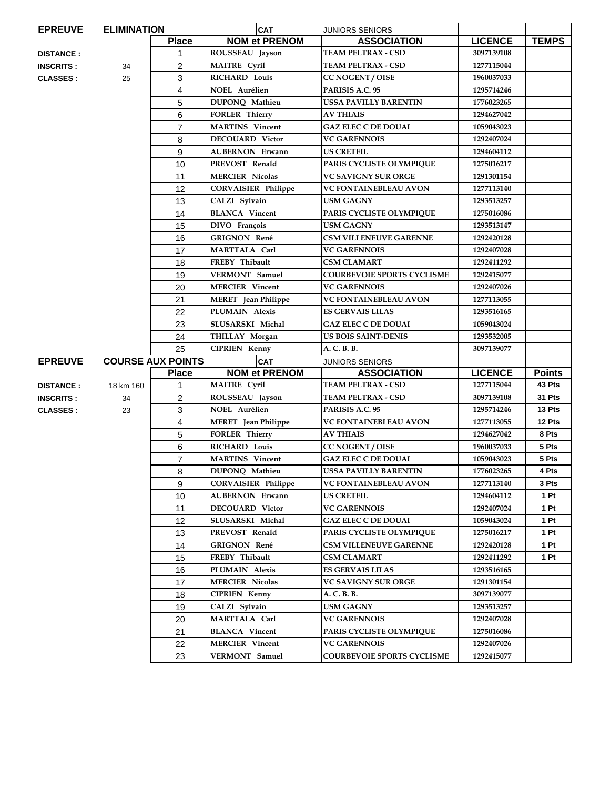| <b>EPREUVE</b>   | <b>ELIMINATION</b> |                          | <b>CAT</b>                 | <b>JUNIORS SENIORS</b>            |                |                 |
|------------------|--------------------|--------------------------|----------------------------|-----------------------------------|----------------|-----------------|
|                  |                    | <b>Place</b>             | <b>NOM et PRENOM</b>       | <b>ASSOCIATION</b>                | <b>LICENCE</b> | <b>TEMPS</b>    |
| <b>DISTANCE:</b> |                    | 1                        | ROUSSEAU Jayson            | <b>TEAM PELTRAX - CSD</b>         | 3097139108     |                 |
| <b>INSCRITS:</b> | 34                 | 2                        | <b>MAITRE Cyril</b>        | TEAM PELTRAX - CSD                | 1277115044     |                 |
| <b>CLASSES:</b>  | 25                 | 3                        | <b>RICHARD Louis</b>       | <b>CC NOGENT / OISE</b>           | 1960037033     |                 |
|                  |                    | 4                        | NOEL Aurélien              | PARISIS A.C. 95                   | 1295714246     |                 |
|                  |                    | 5                        | DUPONQ Mathieu             | USSA PAVILLY BARENTIN             | 1776023265     |                 |
|                  |                    | 6                        | <b>FORLER Thierry</b>      | <b>AV THIAIS</b>                  | 1294627042     |                 |
|                  |                    | $\overline{7}$           | <b>MARTINS</b> Vincent     | <b>GAZ ELEC C DE DOUAI</b>        | 1059043023     |                 |
|                  |                    | 8                        | <b>DECOUARD</b> Victor     | <b>VC GARENNOIS</b>               | 1292407024     |                 |
|                  |                    | 9                        | <b>AUBERNON Erwann</b>     | <b>US CRETEIL</b>                 | 1294604112     |                 |
|                  |                    | 10                       | PREVOST Renald             | PARIS CYCLISTE OLYMPIQUE          | 1275016217     |                 |
|                  |                    | 11                       | <b>MERCIER Nicolas</b>     | <b>VC SAVIGNY SUR ORGE</b>        | 1291301154     |                 |
|                  |                    | 12                       | <b>CORVAISIER Philippe</b> | VC FONTAINEBLEAU AVON             | 1277113140     |                 |
|                  |                    | 13                       | CALZI Sylvain              | USM GAGNY                         | 1293513257     |                 |
|                  |                    | 14                       | <b>BLANCA</b> Vincent      | PARIS CYCLISTE OLYMPIQUE          | 1275016086     |                 |
|                  |                    | 15                       | DIVO François              | <b>USM GAGNY</b>                  | 1293513147     |                 |
|                  |                    | 16                       | <b>GRIGNON René</b>        | <b>CSM VILLENEUVE GARENNE</b>     | 1292420128     |                 |
|                  |                    | 17                       | MARTTALA Carl              | <b>VC GARENNOIS</b>               | 1292407028     |                 |
|                  |                    | 18                       | FREBY Thibault             | <b>CSM CLAMART</b>                | 1292411292     |                 |
|                  |                    | 19                       | <b>VERMONT</b> Samuel      | <b>COURBEVOIE SPORTS CYCLISME</b> | 1292415077     |                 |
|                  |                    | 20                       | <b>MERCIER Vincent</b>     | <b>VC GARENNOIS</b>               | 1292407026     |                 |
|                  |                    | 21                       | <b>MERET</b> Jean Philippe | <b>VC FONTAINEBLEAU AVON</b>      | 1277113055     |                 |
|                  |                    | 22                       | PLUMAIN Alexis             | <b>ES GERVAIS LILAS</b>           | 1293516165     |                 |
|                  |                    | 23                       | SLUSARSKI Michal           | <b>GAZ ELEC C DE DOUAI</b>        | 1059043024     |                 |
|                  |                    | 24                       | THILLAY Morgan             | US BOIS SAINT-DENIS               | 1293532005     |                 |
|                  |                    | 25                       | <b>CIPRIEN Kenny</b>       | A. C. B. B.                       | 3097139077     |                 |
| <b>EPREUVE</b>   |                    | <b>COURSE AUX POINTS</b> | <b>CAT</b>                 | <b>JUNIORS SENIORS</b>            |                |                 |
|                  |                    | <b>Place</b>             | <b>NOM et PRENOM</b>       | <b>ASSOCIATION</b>                | <b>LICENCE</b> | <b>Points</b>   |
| <b>DISTANCE:</b> | 18 km 160          | 1                        | <b>MAITRE</b> Cyril        | <b>TEAM PELTRAX - CSD</b>         | 1277115044     | 43 Pts          |
| <b>INSCRITS:</b> | 34                 | 2                        | ROUSSEAU Jayson            | <b>TEAM PELTRAX - CSD</b>         | 3097139108     | 31 Pts          |
| <b>CLASSES:</b>  | 23                 | 3                        | NOEL Aurélien              | PARISIS A.C. 95                   | 1295714246     | 13 Pts          |
|                  |                    | 4                        | <b>MERET</b> Jean Philippe | <b>VC FONTAINEBLEAU AVON</b>      | 1277113055     | 12 Pts          |
|                  |                    | 5                        | <b>FORLER Thierry</b>      | <b>AV THIAIS</b>                  | 1294627042     | 8 Pts           |
|                  |                    | 6                        | <b>RICHARD Louis</b>       | CC NOGENT / OISE                  | 1960037033     | 5 Pts           |
|                  |                    | $\overline{7}$           | <b>MARTINS</b> Vincent     | <b>GAZ ELEC C DE DOUAI</b>        | 1059043023     | 5 Pts           |
|                  |                    | 8                        | DUPONQ Mathieu             | <b>USSA PAVILLY BARENTIN</b>      | 1776023265     | 4 Pts           |
|                  |                    | 9                        | <b>CORVAISIER Philippe</b> | VC FONTAINEBLEAU AVON             | 1277113140     | 3 Pts           |
|                  |                    | 10                       | <b>AUBERNON Erwann</b>     | US CRETEIL                        | 1294604112     | 1 Pt            |
|                  |                    | 11                       | <b>DECOUARD Victor</b>     | <b>VC GARENNOIS</b>               | 1292407024     | 1 Pt            |
|                  |                    | 12                       | SLUSARSKI Michal           | <b>GAZ ELEC C DE DOUAI</b>        | 1059043024     | 1P <sub>t</sub> |
|                  |                    | 13                       | PREVOST Renald             | PARIS CYCLISTE OLYMPIQUE          | 1275016217     | 1P <sub>t</sub> |
|                  |                    | 14                       | <b>GRIGNON René</b>        | <b>CSM VILLENEUVE GARENNE</b>     | 1292420128     | 1 Pt            |
|                  |                    | 15                       | FREBY Thibault             | <b>CSM CLAMART</b>                | 1292411292     | 1P <sub>t</sub> |
|                  |                    | 16                       | PLUMAIN Alexis             | <b>ES GERVAIS LILAS</b>           | 1293516165     |                 |
|                  |                    | 17                       | <b>MERCIER Nicolas</b>     | VC SAVIGNY SUR ORGE               | 1291301154     |                 |
|                  |                    | 18                       | <b>CIPRIEN Kenny</b>       | A. C. B. B.                       | 3097139077     |                 |
|                  |                    | 19                       | CALZI Sylvain              | <b>USM GAGNY</b>                  | 1293513257     |                 |
|                  |                    | 20                       | MARTTALA Carl              | <b>VC GARENNOIS</b>               | 1292407028     |                 |
|                  |                    | 21                       | <b>BLANCA</b> Vincent      | PARIS CYCLISTE OLYMPIQUE          | 1275016086     |                 |
|                  |                    | 22                       | <b>MERCIER Vincent</b>     | <b>VC GARENNOIS</b>               | 1292407026     |                 |
|                  |                    | 23                       | <b>VERMONT</b> Samuel      | <b>COURBEVOIE SPORTS CYCLISME</b> | 1292415077     |                 |